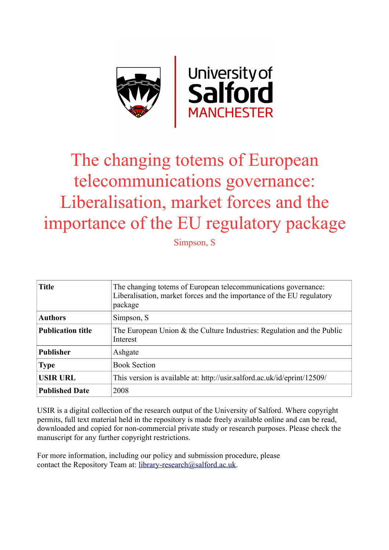

# The changing totems of European telecommunications governance: Liberalisation, market forces and the importance of the EU regulatory package

Simpson, S

| <b>Title</b>             | The changing totems of European telecommunications governance:<br>Liberalisation, market forces and the importance of the EU regulatory<br>package |
|--------------------------|----------------------------------------------------------------------------------------------------------------------------------------------------|
| <b>Authors</b>           | Simpson, S.                                                                                                                                        |
| <b>Publication title</b> | The European Union $\&$ the Culture Industries: Regulation and the Public<br>Interest                                                              |
| <b>Publisher</b>         | Ashgate                                                                                                                                            |
| <b>Type</b>              | <b>Book Section</b>                                                                                                                                |
| <b>USIR URL</b>          | This version is available at: http://usir.salford.ac.uk/id/eprint/12509/                                                                           |
| <b>Published Date</b>    | 2008                                                                                                                                               |

USIR is a digital collection of the research output of the University of Salford. Where copyright permits, full text material held in the repository is made freely available online and can be read, downloaded and copied for non-commercial private study or research purposes. Please check the manuscript for any further copyright restrictions.

For more information, including our policy and submission procedure, please contact the Repository Team at: [library-research@salford.ac.uk.](mailto:library-research@salford.ac.uk)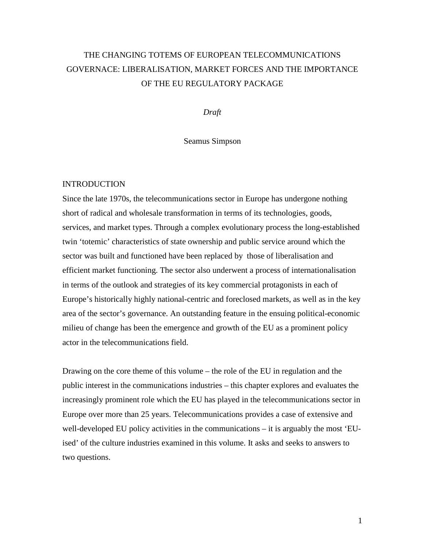## THE CHANGING TOTEMS OF EUROPEAN TELECOMMUNICATIONS GOVERNACE: LIBERALISATION, MARKET FORCES AND THE IMPORTANCE OF THE EU REGULATORY PACKAGE

*Draft*

Seamus Simpson

#### INTRODUCTION

Since the late 1970s, the telecommunications sector in Europe has undergone nothing short of radical and wholesale transformation in terms of its technologies, goods, services, and market types. Through a complex evolutionary process the long-established twin 'totemic' characteristics of state ownership and public service around which the sector was built and functioned have been replaced by those of liberalisation and efficient market functioning. The sector also underwent a process of internationalisation in terms of the outlook and strategies of its key commercial protagonists in each of Europe's historically highly national-centric and foreclosed markets, as well as in the key area of the sector's governance. An outstanding feature in the ensuing political-economic milieu of change has been the emergence and growth of the EU as a prominent policy actor in the telecommunications field.

Drawing on the core theme of this volume – the role of the EU in regulation and the public interest in the communications industries – this chapter explores and evaluates the increasingly prominent role which the EU has played in the telecommunications sector in Europe over more than 25 years. Telecommunications provides a case of extensive and well-developed EU policy activities in the communications – it is arguably the most 'EUised' of the culture industries examined in this volume. It asks and seeks to answers to two questions.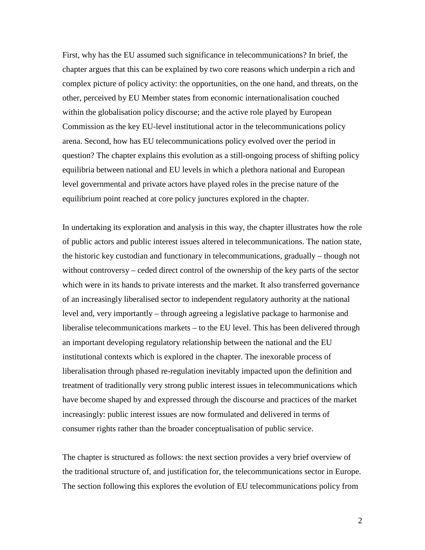First, why has the EU assumed such significance in telecommunications? In brief, the chapter argues that this can be explained by two core reasons which underpin a rich and complex picture of policy activity: the opportunities, on the one hand, and threats, on the other, perceived by EU Member states from economic internationalisation couched within the globalisation policy discourse; and the active role played by European Commission as the key EU-level institutional actor in the telecommunications policy arena. Second, how has EU telecommunications policy evolved over the period in question? The chapter explains this evolution as a still-ongoing process of shifting policy equilibria between national and EU levels in which a plethora national and European level governmental and private actors have played roles in the precise nature of the equilibrium point reached at core policy junctures explored in the chapter.

In undertaking its exploration and analysis in this way, the chapter illustrates how the role of public actors and public interest issues altered in telecommunications. The nation state, the historic key custodian and functionary in telecommunications, gradually – though not without controversy – ceded direct control of the ownership of the key parts of the sector which were in its hands to private interests and the market. It also transferred governance of an increasingly liberalised sector to independent regulatory authority at the national level and, very importantly – through agreeing a legislative package to harmonise and liberalise telecommunications markets – to the EU level. This has been delivered through an important developing regulatory relationship between the national and the EU institutional contexts which is explored in the chapter. The inexorable process of liberalisation through phased re-regulation inevitably impacted upon the definition and treatment of traditionally very strong public interest issues in telecommunications which have become shaped by and expressed through the discourse and practices of the market increasingly: public interest issues are now formulated and delivered in terms of consumer rights rather than the broader conceptualisation of public service.

The chapter is structured as follows: the next section provides a very brief overview of the traditional structure of, and justification for, the telecommunications sector in Europe. The section following this explores the evolution of EU telecommunications policy from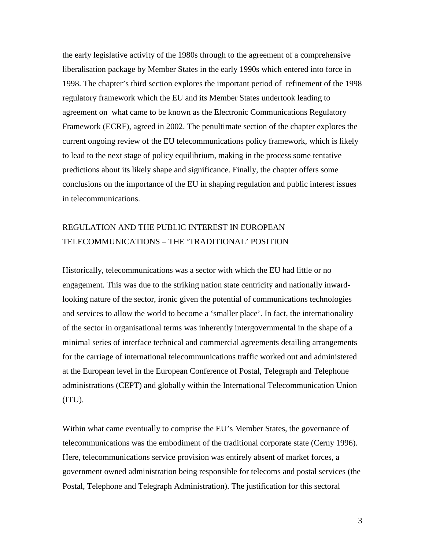the early legislative activity of the 1980s through to the agreement of a comprehensive liberalisation package by Member States in the early 1990s which entered into force in 1998. The chapter's third section explores the important period of refinement of the 1998 regulatory framework which the EU and its Member States undertook leading to agreement on what came to be known as the Electronic Communications Regulatory Framework (ECRF), agreed in 2002. The penultimate section of the chapter explores the current ongoing review of the EU telecommunications policy framework, which is likely to lead to the next stage of policy equilibrium, making in the process some tentative predictions about its likely shape and significance. Finally, the chapter offers some conclusions on the importance of the EU in shaping regulation and public interest issues in telecommunications.

## REGULATION AND THE PUBLIC INTEREST IN EUROPEAN TELECOMMUNICATIONS – THE 'TRADITIONAL' POSITION

Historically, telecommunications was a sector with which the EU had little or no engagement. This was due to the striking nation state centricity and nationally inwardlooking nature of the sector, ironic given the potential of communications technologies and services to allow the world to become a 'smaller place'. In fact, the internationality of the sector in organisational terms was inherently intergovernmental in the shape of a minimal series of interface technical and commercial agreements detailing arrangements for the carriage of international telecommunications traffic worked out and administered at the European level in the European Conference of Postal, Telegraph and Telephone administrations (CEPT) and globally within the International Telecommunication Union (ITU).

Within what came eventually to comprise the EU's Member States, the governance of telecommunications was the embodiment of the traditional corporate state (Cerny 1996). Here, telecommunications service provision was entirely absent of market forces, a government owned administration being responsible for telecoms and postal services (the Postal, Telephone and Telegraph Administration). The justification for this sectoral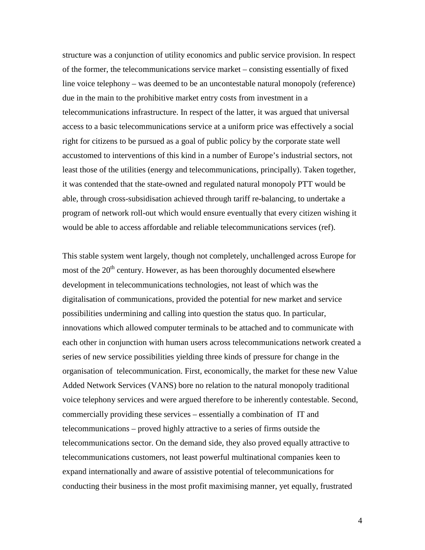structure was a conjunction of utility economics and public service provision. In respect of the former, the telecommunications service market – consisting essentially of fixed line voice telephony – was deemed to be an uncontestable natural monopoly (reference) due in the main to the prohibitive market entry costs from investment in a telecommunications infrastructure. In respect of the latter, it was argued that universal access to a basic telecommunications service at a uniform price was effectively a social right for citizens to be pursued as a goal of public policy by the corporate state well accustomed to interventions of this kind in a number of Europe's industrial sectors, not least those of the utilities (energy and telecommunications, principally). Taken together, it was contended that the state-owned and regulated natural monopoly PTT would be able, through cross-subsidisation achieved through tariff re-balancing, to undertake a program of network roll-out which would ensure eventually that every citizen wishing it would be able to access affordable and reliable telecommunications services (ref).

This stable system went largely, though not completely, unchallenged across Europe for most of the  $20<sup>th</sup>$  century. However, as has been thoroughly documented elsewhere development in telecommunications technologies, not least of which was the digitalisation of communications, provided the potential for new market and service possibilities undermining and calling into question the status quo. In particular, innovations which allowed computer terminals to be attached and to communicate with each other in conjunction with human users across telecommunications network created a series of new service possibilities yielding three kinds of pressure for change in the organisation of telecommunication. First, economically, the market for these new Value Added Network Services (VANS) bore no relation to the natural monopoly traditional voice telephony services and were argued therefore to be inherently contestable. Second, commercially providing these services – essentially a combination of IT and telecommunications – proved highly attractive to a series of firms outside the telecommunications sector. On the demand side, they also proved equally attractive to telecommunications customers, not least powerful multinational companies keen to expand internationally and aware of assistive potential of telecommunications for conducting their business in the most profit maximising manner, yet equally, frustrated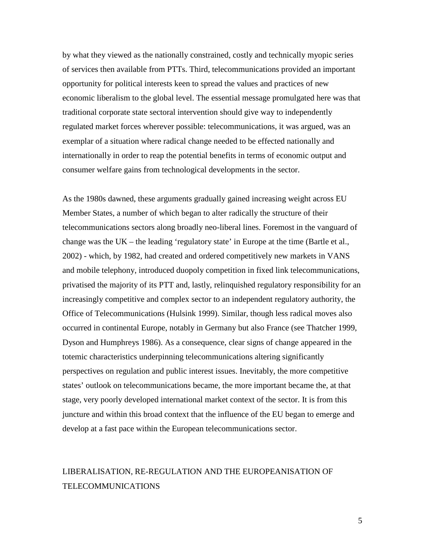by what they viewed as the nationally constrained, costly and technically myopic series of services then available from PTTs. Third, telecommunications provided an important opportunity for political interests keen to spread the values and practices of new economic liberalism to the global level. The essential message promulgated here was that traditional corporate state sectoral intervention should give way to independently regulated market forces wherever possible: telecommunications, it was argued, was an exemplar of a situation where radical change needed to be effected nationally and internationally in order to reap the potential benefits in terms of economic output and consumer welfare gains from technological developments in the sector.

As the 1980s dawned, these arguments gradually gained increasing weight across EU Member States, a number of which began to alter radically the structure of their telecommunications sectors along broadly neo-liberal lines. Foremost in the vanguard of change was the UK – the leading 'regulatory state' in Europe at the time (Bartle et al., 2002) - which, by 1982, had created and ordered competitively new markets in VANS and mobile telephony, introduced duopoly competition in fixed link telecommunications, privatised the majority of its PTT and, lastly, relinquished regulatory responsibility for an increasingly competitive and complex sector to an independent regulatory authority, the Office of Telecommunications (Hulsink 1999). Similar, though less radical moves also occurred in continental Europe, notably in Germany but also France (see Thatcher 1999, Dyson and Humphreys 1986). As a consequence, clear signs of change appeared in the totemic characteristics underpinning telecommunications altering significantly perspectives on regulation and public interest issues. Inevitably, the more competitive states' outlook on telecommunications became, the more important became the, at that stage, very poorly developed international market context of the sector. It is from this juncture and within this broad context that the influence of the EU began to emerge and develop at a fast pace within the European telecommunications sector.

## LIBERALISATION, RE-REGULATION AND THE EUROPEANISATION OF TELECOMMUNICATIONS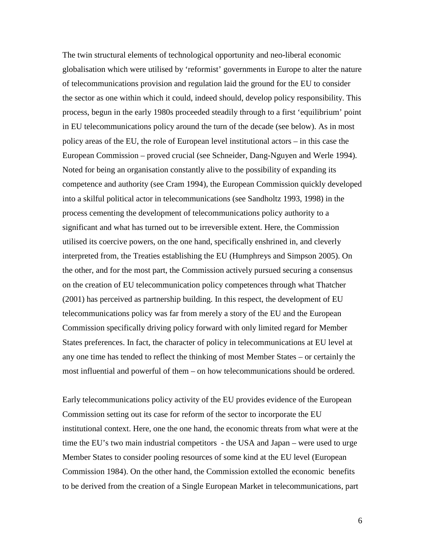The twin structural elements of technological opportunity and neo-liberal economic globalisation which were utilised by 'reformist' governments in Europe to alter the nature of telecommunications provision and regulation laid the ground for the EU to consider the sector as one within which it could, indeed should, develop policy responsibility. This process, begun in the early 1980s proceeded steadily through to a first 'equilibrium' point in EU telecommunications policy around the turn of the decade (see below). As in most policy areas of the EU, the role of European level institutional actors – in this case the European Commission – proved crucial (see Schneider, Dang-Nguyen and Werle 1994). Noted for being an organisation constantly alive to the possibility of expanding its competence and authority (see Cram 1994), the European Commission quickly developed into a skilful political actor in telecommunications (see Sandholtz 1993, 1998) in the process cementing the development of telecommunications policy authority to a significant and what has turned out to be irreversible extent. Here, the Commission utilised its coercive powers, on the one hand, specifically enshrined in, and cleverly interpreted from, the Treaties establishing the EU (Humphreys and Simpson 2005). On the other, and for the most part, the Commission actively pursued securing a consensus on the creation of EU telecommunication policy competences through what Thatcher (2001) has perceived as partnership building. In this respect, the development of EU telecommunications policy was far from merely a story of the EU and the European Commission specifically driving policy forward with only limited regard for Member States preferences. In fact, the character of policy in telecommunications at EU level at any one time has tended to reflect the thinking of most Member States – or certainly the most influential and powerful of them – on how telecommunications should be ordered.

Early telecommunications policy activity of the EU provides evidence of the European Commission setting out its case for reform of the sector to incorporate the EU institutional context. Here, one the one hand, the economic threats from what were at the time the EU's two main industrial competitors - the USA and Japan – were used to urge Member States to consider pooling resources of some kind at the EU level (European Commission 1984). On the other hand, the Commission extolled the economic benefits to be derived from the creation of a Single European Market in telecommunications, part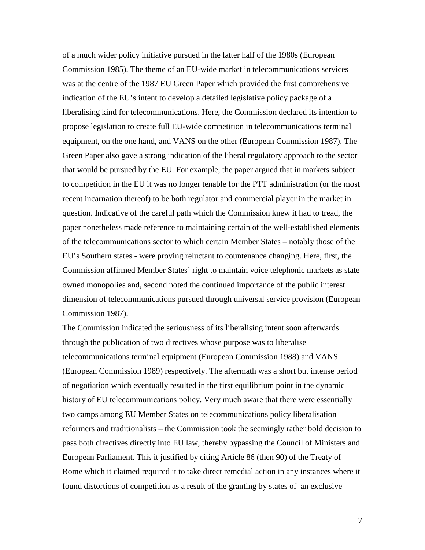of a much wider policy initiative pursued in the latter half of the 1980s (European Commission 1985). The theme of an EU-wide market in telecommunications services was at the centre of the 1987 EU Green Paper which provided the first comprehensive indication of the EU's intent to develop a detailed legislative policy package of a liberalising kind for telecommunications. Here, the Commission declared its intention to propose legislation to create full EU-wide competition in telecommunications terminal equipment, on the one hand, and VANS on the other (European Commission 1987). The Green Paper also gave a strong indication of the liberal regulatory approach to the sector that would be pursued by the EU. For example, the paper argued that in markets subject to competition in the EU it was no longer tenable for the PTT administration (or the most recent incarnation thereof) to be both regulator and commercial player in the market in question. Indicative of the careful path which the Commission knew it had to tread, the paper nonetheless made reference to maintaining certain of the well-established elements of the telecommunications sector to which certain Member States – notably those of the EU's Southern states - were proving reluctant to countenance changing. Here, first, the Commission affirmed Member States' right to maintain voice telephonic markets as state owned monopolies and, second noted the continued importance of the public interest dimension of telecommunications pursued through universal service provision (European Commission 1987).

The Commission indicated the seriousness of its liberalising intent soon afterwards through the publication of two directives whose purpose was to liberalise telecommunications terminal equipment (European Commission 1988) and VANS (European Commission 1989) respectively. The aftermath was a short but intense period of negotiation which eventually resulted in the first equilibrium point in the dynamic history of EU telecommunications policy. Very much aware that there were essentially two camps among EU Member States on telecommunications policy liberalisation – reformers and traditionalists – the Commission took the seemingly rather bold decision to pass both directives directly into EU law, thereby bypassing the Council of Ministers and European Parliament. This it justified by citing Article 86 (then 90) of the Treaty of Rome which it claimed required it to take direct remedial action in any instances where it found distortions of competition as a result of the granting by states of an exclusive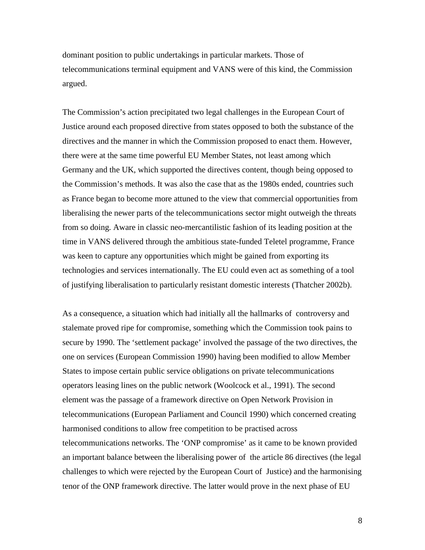dominant position to public undertakings in particular markets. Those of telecommunications terminal equipment and VANS were of this kind, the Commission argued.

The Commission's action precipitated two legal challenges in the European Court of Justice around each proposed directive from states opposed to both the substance of the directives and the manner in which the Commission proposed to enact them. However, there were at the same time powerful EU Member States, not least among which Germany and the UK, which supported the directives content, though being opposed to the Commission's methods. It was also the case that as the 1980s ended, countries such as France began to become more attuned to the view that commercial opportunities from liberalising the newer parts of the telecommunications sector might outweigh the threats from so doing. Aware in classic neo-mercantilistic fashion of its leading position at the time in VANS delivered through the ambitious state-funded Teletel programme, France was keen to capture any opportunities which might be gained from exporting its technologies and services internationally. The EU could even act as something of a tool of justifying liberalisation to particularly resistant domestic interests (Thatcher 2002b).

As a consequence, a situation which had initially all the hallmarks of controversy and stalemate proved ripe for compromise, something which the Commission took pains to secure by 1990. The 'settlement package' involved the passage of the two directives, the one on services (European Commission 1990) having been modified to allow Member States to impose certain public service obligations on private telecommunications operators leasing lines on the public network (Woolcock et al., 1991). The second element was the passage of a framework directive on Open Network Provision in telecommunications (European Parliament and Council 1990) which concerned creating harmonised conditions to allow free competition to be practised across telecommunications networks. The 'ONP compromise' as it came to be known provided an important balance between the liberalising power of the article 86 directives (the legal challenges to which were rejected by the European Court of Justice) and the harmonising tenor of the ONP framework directive. The latter would prove in the next phase of EU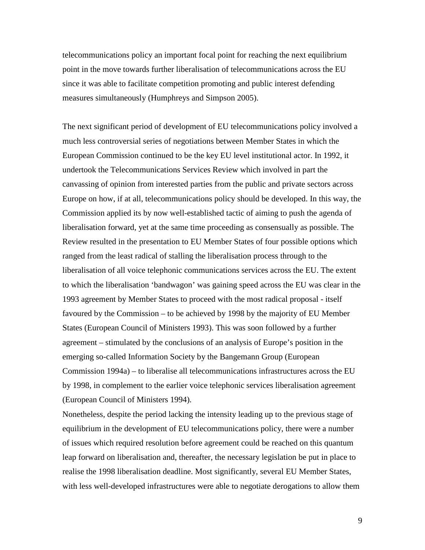telecommunications policy an important focal point for reaching the next equilibrium point in the move towards further liberalisation of telecommunications across the EU since it was able to facilitate competition promoting and public interest defending measures simultaneously (Humphreys and Simpson 2005).

The next significant period of development of EU telecommunications policy involved a much less controversial series of negotiations between Member States in which the European Commission continued to be the key EU level institutional actor. In 1992, it undertook the Telecommunications Services Review which involved in part the canvassing of opinion from interested parties from the public and private sectors across Europe on how, if at all, telecommunications policy should be developed. In this way, the Commission applied its by now well-established tactic of aiming to push the agenda of liberalisation forward, yet at the same time proceeding as consensually as possible. The Review resulted in the presentation to EU Member States of four possible options which ranged from the least radical of stalling the liberalisation process through to the liberalisation of all voice telephonic communications services across the EU. The extent to which the liberalisation 'bandwagon' was gaining speed across the EU was clear in the 1993 agreement by Member States to proceed with the most radical proposal - itself favoured by the Commission – to be achieved by 1998 by the majority of EU Member States (European Council of Ministers 1993). This was soon followed by a further agreement – stimulated by the conclusions of an analysis of Europe's position in the emerging so-called Information Society by the Bangemann Group (European Commission 1994a) – to liberalise all telecommunications infrastructures across the EU by 1998, in complement to the earlier voice telephonic services liberalisation agreement (European Council of Ministers 1994).

Nonetheless, despite the period lacking the intensity leading up to the previous stage of equilibrium in the development of EU telecommunications policy, there were a number of issues which required resolution before agreement could be reached on this quantum leap forward on liberalisation and, thereafter, the necessary legislation be put in place to realise the 1998 liberalisation deadline. Most significantly, several EU Member States, with less well-developed infrastructures were able to negotiate derogations to allow them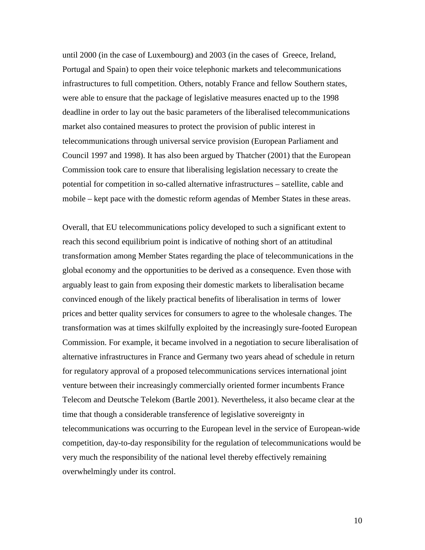until 2000 (in the case of Luxembourg) and 2003 (in the cases of Greece, Ireland, Portugal and Spain) to open their voice telephonic markets and telecommunications infrastructures to full competition. Others, notably France and fellow Southern states, were able to ensure that the package of legislative measures enacted up to the 1998 deadline in order to lay out the basic parameters of the liberalised telecommunications market also contained measures to protect the provision of public interest in telecommunications through universal service provision (European Parliament and Council 1997 and 1998). It has also been argued by Thatcher (2001) that the European Commission took care to ensure that liberalising legislation necessary to create the potential for competition in so-called alternative infrastructures – satellite, cable and mobile – kept pace with the domestic reform agendas of Member States in these areas.

Overall, that EU telecommunications policy developed to such a significant extent to reach this second equilibrium point is indicative of nothing short of an attitudinal transformation among Member States regarding the place of telecommunications in the global economy and the opportunities to be derived as a consequence. Even those with arguably least to gain from exposing their domestic markets to liberalisation became convinced enough of the likely practical benefits of liberalisation in terms of lower prices and better quality services for consumers to agree to the wholesale changes. The transformation was at times skilfully exploited by the increasingly sure-footed European Commission. For example, it became involved in a negotiation to secure liberalisation of alternative infrastructures in France and Germany two years ahead of schedule in return for regulatory approval of a proposed telecommunications services international joint venture between their increasingly commercially oriented former incumbents France Telecom and Deutsche Telekom (Bartle 2001). Nevertheless, it also became clear at the time that though a considerable transference of legislative sovereignty in telecommunications was occurring to the European level in the service of European-wide competition, day-to-day responsibility for the regulation of telecommunications would be very much the responsibility of the national level thereby effectively remaining overwhelmingly under its control.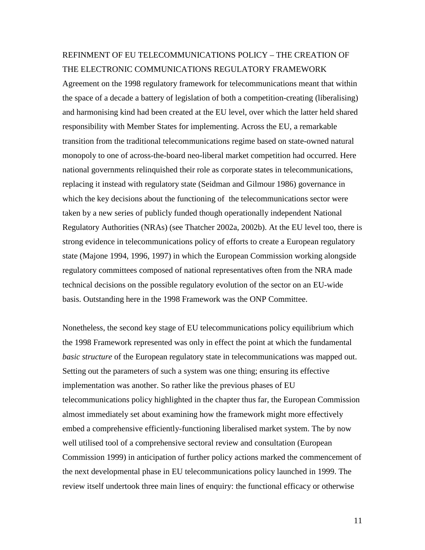#### REFINMENT OF EU TELECOMMUNICATIONS POLICY – THE CREATION OF THE ELECTRONIC COMMUNICATIONS REGULATORY FRAMEWORK

Agreement on the 1998 regulatory framework for telecommunications meant that within the space of a decade a battery of legislation of both a competition-creating (liberalising) and harmonising kind had been created at the EU level, over which the latter held shared responsibility with Member States for implementing. Across the EU, a remarkable transition from the traditional telecommunications regime based on state-owned natural monopoly to one of across-the-board neo-liberal market competition had occurred. Here national governments relinquished their role as corporate states in telecommunications, replacing it instead with regulatory state (Seidman and Gilmour 1986) governance in which the key decisions about the functioning of the telecommunications sector were taken by a new series of publicly funded though operationally independent National Regulatory Authorities (NRAs) (see Thatcher 2002a, 2002b). At the EU level too, there is strong evidence in telecommunications policy of efforts to create a European regulatory state (Majone 1994, 1996, 1997) in which the European Commission working alongside regulatory committees composed of national representatives often from the NRA made technical decisions on the possible regulatory evolution of the sector on an EU-wide basis. Outstanding here in the 1998 Framework was the ONP Committee.

Nonetheless, the second key stage of EU telecommunications policy equilibrium which the 1998 Framework represented was only in effect the point at which the fundamental *basic structure* of the European regulatory state in telecommunications was mapped out. Setting out the parameters of such a system was one thing; ensuring its effective implementation was another. So rather like the previous phases of EU telecommunications policy highlighted in the chapter thus far, the European Commission almost immediately set about examining how the framework might more effectively embed a comprehensive efficiently-functioning liberalised market system. The by now well utilised tool of a comprehensive sectoral review and consultation (European Commission 1999) in anticipation of further policy actions marked the commencement of the next developmental phase in EU telecommunications policy launched in 1999. The review itself undertook three main lines of enquiry: the functional efficacy or otherwise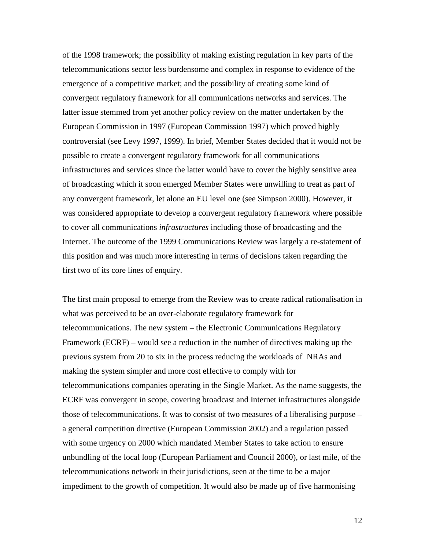of the 1998 framework; the possibility of making existing regulation in key parts of the telecommunications sector less burdensome and complex in response to evidence of the emergence of a competitive market; and the possibility of creating some kind of convergent regulatory framework for all communications networks and services. The latter issue stemmed from yet another policy review on the matter undertaken by the European Commission in 1997 (European Commission 1997) which proved highly controversial (see Levy 1997, 1999). In brief, Member States decided that it would not be possible to create a convergent regulatory framework for all communications infrastructures and services since the latter would have to cover the highly sensitive area of broadcasting which it soon emerged Member States were unwilling to treat as part of any convergent framework, let alone an EU level one (see Simpson 2000). However, it was considered appropriate to develop a convergent regulatory framework where possible to cover all communications *infrastructures* including those of broadcasting and the Internet. The outcome of the 1999 Communications Review was largely a re-statement of this position and was much more interesting in terms of decisions taken regarding the first two of its core lines of enquiry.

The first main proposal to emerge from the Review was to create radical rationalisation in what was perceived to be an over-elaborate regulatory framework for telecommunications. The new system – the Electronic Communications Regulatory Framework (ECRF) – would see a reduction in the number of directives making up the previous system from 20 to six in the process reducing the workloads of NRAs and making the system simpler and more cost effective to comply with for telecommunications companies operating in the Single Market. As the name suggests, the ECRF was convergent in scope, covering broadcast and Internet infrastructures alongside those of telecommunications. It was to consist of two measures of a liberalising purpose – a general competition directive (European Commission 2002) and a regulation passed with some urgency on 2000 which mandated Member States to take action to ensure unbundling of the local loop (European Parliament and Council 2000), or last mile, of the telecommunications network in their jurisdictions, seen at the time to be a major impediment to the growth of competition. It would also be made up of five harmonising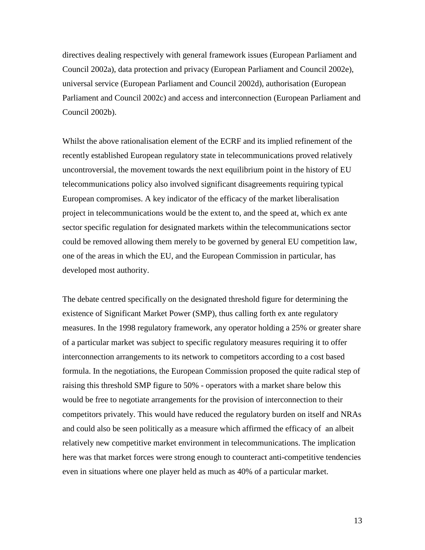directives dealing respectively with general framework issues (European Parliament and Council 2002a), data protection and privacy (European Parliament and Council 2002e), universal service (European Parliament and Council 2002d), authorisation (European Parliament and Council 2002c) and access and interconnection (European Parliament and Council 2002b).

Whilst the above rationalisation element of the ECRF and its implied refinement of the recently established European regulatory state in telecommunications proved relatively uncontroversial, the movement towards the next equilibrium point in the history of EU telecommunications policy also involved significant disagreements requiring typical European compromises. A key indicator of the efficacy of the market liberalisation project in telecommunications would be the extent to, and the speed at, which ex ante sector specific regulation for designated markets within the telecommunications sector could be removed allowing them merely to be governed by general EU competition law, one of the areas in which the EU, and the European Commission in particular, has developed most authority.

The debate centred specifically on the designated threshold figure for determining the existence of Significant Market Power (SMP), thus calling forth ex ante regulatory measures. In the 1998 regulatory framework, any operator holding a 25% or greater share of a particular market was subject to specific regulatory measures requiring it to offer interconnection arrangements to its network to competitors according to a cost based formula. In the negotiations, the European Commission proposed the quite radical step of raising this threshold SMP figure to 50% - operators with a market share below this would be free to negotiate arrangements for the provision of interconnection to their competitors privately. This would have reduced the regulatory burden on itself and NRAs and could also be seen politically as a measure which affirmed the efficacy of an albeit relatively new competitive market environment in telecommunications. The implication here was that market forces were strong enough to counteract anti-competitive tendencies even in situations where one player held as much as 40% of a particular market.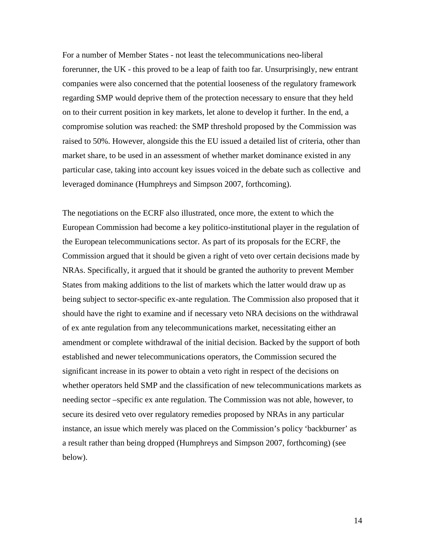For a number of Member States - not least the telecommunications neo-liberal forerunner, the UK - this proved to be a leap of faith too far. Unsurprisingly, new entrant companies were also concerned that the potential looseness of the regulatory framework regarding SMP would deprive them of the protection necessary to ensure that they held on to their current position in key markets, let alone to develop it further. In the end, a compromise solution was reached: the SMP threshold proposed by the Commission was raised to 50%. However, alongside this the EU issued a detailed list of criteria, other than market share, to be used in an assessment of whether market dominance existed in any particular case, taking into account key issues voiced in the debate such as collective and leveraged dominance (Humphreys and Simpson 2007, forthcoming).

The negotiations on the ECRF also illustrated, once more, the extent to which the European Commission had become a key politico-institutional player in the regulation of the European telecommunications sector. As part of its proposals for the ECRF, the Commission argued that it should be given a right of veto over certain decisions made by NRAs. Specifically, it argued that it should be granted the authority to prevent Member States from making additions to the list of markets which the latter would draw up as being subject to sector-specific ex-ante regulation. The Commission also proposed that it should have the right to examine and if necessary veto NRA decisions on the withdrawal of ex ante regulation from any telecommunications market, necessitating either an amendment or complete withdrawal of the initial decision. Backed by the support of both established and newer telecommunications operators, the Commission secured the significant increase in its power to obtain a veto right in respect of the decisions on whether operators held SMP and the classification of new telecommunications markets as needing sector –specific ex ante regulation. The Commission was not able, however, to secure its desired veto over regulatory remedies proposed by NRAs in any particular instance, an issue which merely was placed on the Commission's policy 'backburner' as a result rather than being dropped (Humphreys and Simpson 2007, forthcoming) (see below).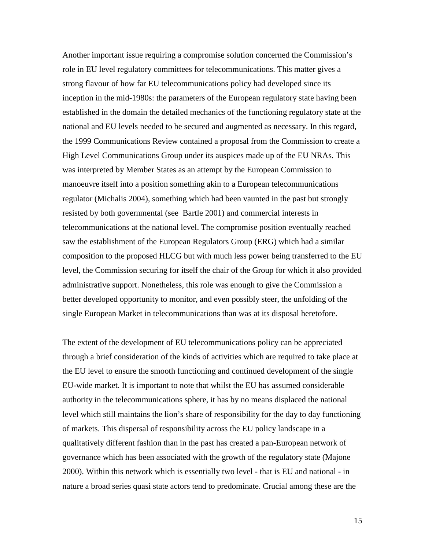Another important issue requiring a compromise solution concerned the Commission's role in EU level regulatory committees for telecommunications. This matter gives a strong flavour of how far EU telecommunications policy had developed since its inception in the mid-1980s: the parameters of the European regulatory state having been established in the domain the detailed mechanics of the functioning regulatory state at the national and EU levels needed to be secured and augmented as necessary. In this regard, the 1999 Communications Review contained a proposal from the Commission to create a High Level Communications Group under its auspices made up of the EU NRAs. This was interpreted by Member States as an attempt by the European Commission to manoeuvre itself into a position something akin to a European telecommunications regulator (Michalis 2004), something which had been vaunted in the past but strongly resisted by both governmental (see Bartle 2001) and commercial interests in telecommunications at the national level. The compromise position eventually reached saw the establishment of the European Regulators Group (ERG) which had a similar composition to the proposed HLCG but with much less power being transferred to the EU level, the Commission securing for itself the chair of the Group for which it also provided administrative support. Nonetheless, this role was enough to give the Commission a better developed opportunity to monitor, and even possibly steer, the unfolding of the single European Market in telecommunications than was at its disposal heretofore.

The extent of the development of EU telecommunications policy can be appreciated through a brief consideration of the kinds of activities which are required to take place at the EU level to ensure the smooth functioning and continued development of the single EU-wide market. It is important to note that whilst the EU has assumed considerable authority in the telecommunications sphere, it has by no means displaced the national level which still maintains the lion's share of responsibility for the day to day functioning of markets. This dispersal of responsibility across the EU policy landscape in a qualitatively different fashion than in the past has created a pan-European network of governance which has been associated with the growth of the regulatory state (Majone 2000). Within this network which is essentially two level - that is EU and national - in nature a broad series quasi state actors tend to predominate. Crucial among these are the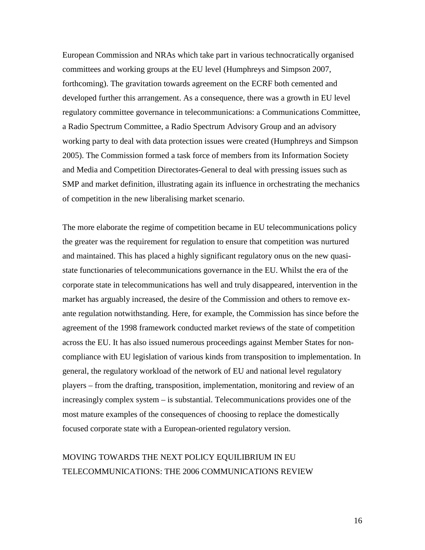European Commission and NRAs which take part in various technocratically organised committees and working groups at the EU level (Humphreys and Simpson 2007, forthcoming). The gravitation towards agreement on the ECRF both cemented and developed further this arrangement. As a consequence, there was a growth in EU level regulatory committee governance in telecommunications: a Communications Committee, a Radio Spectrum Committee, a Radio Spectrum Advisory Group and an advisory working party to deal with data protection issues were created (Humphreys and Simpson 2005). The Commission formed a task force of members from its Information Society and Media and Competition Directorates-General to deal with pressing issues such as SMP and market definition, illustrating again its influence in orchestrating the mechanics of competition in the new liberalising market scenario.

The more elaborate the regime of competition became in EU telecommunications policy the greater was the requirement for regulation to ensure that competition was nurtured and maintained. This has placed a highly significant regulatory onus on the new quasistate functionaries of telecommunications governance in the EU. Whilst the era of the corporate state in telecommunications has well and truly disappeared, intervention in the market has arguably increased, the desire of the Commission and others to remove exante regulation notwithstanding. Here, for example, the Commission has since before the agreement of the 1998 framework conducted market reviews of the state of competition across the EU. It has also issued numerous proceedings against Member States for noncompliance with EU legislation of various kinds from transposition to implementation. In general, the regulatory workload of the network of EU and national level regulatory players – from the drafting, transposition, implementation, monitoring and review of an increasingly complex system – is substantial. Telecommunications provides one of the most mature examples of the consequences of choosing to replace the domestically focused corporate state with a European-oriented regulatory version.

## MOVING TOWARDS THE NEXT POLICY EQUILIBRIUM IN EU TELECOMMUNICATIONS: THE 2006 COMMUNICATIONS REVIEW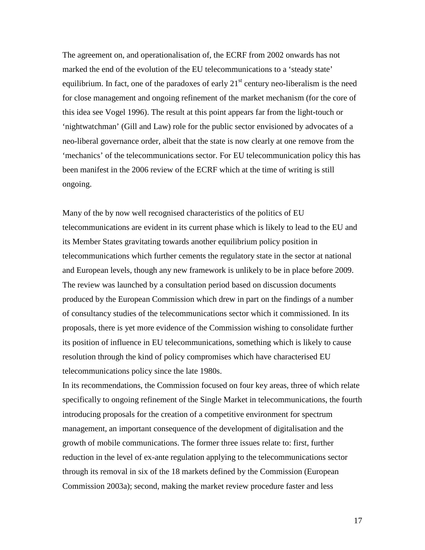The agreement on, and operationalisation of, the ECRF from 2002 onwards has not marked the end of the evolution of the EU telecommunications to a 'steady state' equilibrium. In fact, one of the paradoxes of early  $21<sup>st</sup>$  century neo-liberalism is the need for close management and ongoing refinement of the market mechanism (for the core of this idea see Vogel 1996). The result at this point appears far from the light-touch or 'nightwatchman' (Gill and Law) role for the public sector envisioned by advocates of a neo-liberal governance order, albeit that the state is now clearly at one remove from the 'mechanics' of the telecommunications sector. For EU telecommunication policy this has been manifest in the 2006 review of the ECRF which at the time of writing is still ongoing.

Many of the by now well recognised characteristics of the politics of EU telecommunications are evident in its current phase which is likely to lead to the EU and its Member States gravitating towards another equilibrium policy position in telecommunications which further cements the regulatory state in the sector at national and European levels, though any new framework is unlikely to be in place before 2009. The review was launched by a consultation period based on discussion documents produced by the European Commission which drew in part on the findings of a number of consultancy studies of the telecommunications sector which it commissioned. In its proposals, there is yet more evidence of the Commission wishing to consolidate further its position of influence in EU telecommunications, something which is likely to cause resolution through the kind of policy compromises which have characterised EU telecommunications policy since the late 1980s.

In its recommendations, the Commission focused on four key areas, three of which relate specifically to ongoing refinement of the Single Market in telecommunications, the fourth introducing proposals for the creation of a competitive environment for spectrum management, an important consequence of the development of digitalisation and the growth of mobile communications. The former three issues relate to: first, further reduction in the level of ex-ante regulation applying to the telecommunications sector through its removal in six of the 18 markets defined by the Commission (European Commission 2003a); second, making the market review procedure faster and less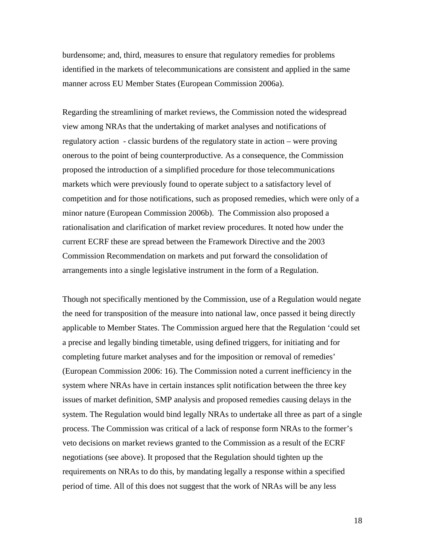burdensome; and, third, measures to ensure that regulatory remedies for problems identified in the markets of telecommunications are consistent and applied in the same manner across EU Member States (European Commission 2006a).

Regarding the streamlining of market reviews, the Commission noted the widespread view among NRAs that the undertaking of market analyses and notifications of regulatory action - classic burdens of the regulatory state in action – were proving onerous to the point of being counterproductive. As a consequence, the Commission proposed the introduction of a simplified procedure for those telecommunications markets which were previously found to operate subject to a satisfactory level of competition and for those notifications, such as proposed remedies, which were only of a minor nature (European Commission 2006b). The Commission also proposed a rationalisation and clarification of market review procedures. It noted how under the current ECRF these are spread between the Framework Directive and the 2003 Commission Recommendation on markets and put forward the consolidation of arrangements into a single legislative instrument in the form of a Regulation.

Though not specifically mentioned by the Commission, use of a Regulation would negate the need for transposition of the measure into national law, once passed it being directly applicable to Member States. The Commission argued here that the Regulation 'could set a precise and legally binding timetable, using defined triggers, for initiating and for completing future market analyses and for the imposition or removal of remedies' (European Commission 2006: 16). The Commission noted a current inefficiency in the system where NRAs have in certain instances split notification between the three key issues of market definition, SMP analysis and proposed remedies causing delays in the system. The Regulation would bind legally NRAs to undertake all three as part of a single process. The Commission was critical of a lack of response form NRAs to the former's veto decisions on market reviews granted to the Commission as a result of the ECRF negotiations (see above). It proposed that the Regulation should tighten up the requirements on NRAs to do this, by mandating legally a response within a specified period of time. All of this does not suggest that the work of NRAs will be any less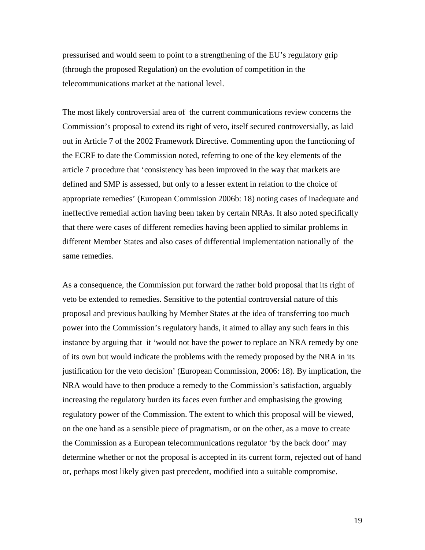pressurised and would seem to point to a strengthening of the EU's regulatory grip (through the proposed Regulation) on the evolution of competition in the telecommunications market at the national level.

The most likely controversial area of the current communications review concerns the Commission's proposal to extend its right of veto, itself secured controversially, as laid out in Article 7 of the 2002 Framework Directive. Commenting upon the functioning of the ECRF to date the Commission noted, referring to one of the key elements of the article 7 procedure that 'consistency has been improved in the way that markets are defined and SMP is assessed, but only to a lesser extent in relation to the choice of appropriate remedies' (European Commission 2006b: 18) noting cases of inadequate and ineffective remedial action having been taken by certain NRAs. It also noted specifically that there were cases of different remedies having been applied to similar problems in different Member States and also cases of differential implementation nationally of the same remedies.

As a consequence, the Commission put forward the rather bold proposal that its right of veto be extended to remedies. Sensitive to the potential controversial nature of this proposal and previous baulking by Member States at the idea of transferring too much power into the Commission's regulatory hands, it aimed to allay any such fears in this instance by arguing that it 'would not have the power to replace an NRA remedy by one of its own but would indicate the problems with the remedy proposed by the NRA in its justification for the veto decision' (European Commission, 2006: 18). By implication, the NRA would have to then produce a remedy to the Commission's satisfaction, arguably increasing the regulatory burden its faces even further and emphasising the growing regulatory power of the Commission. The extent to which this proposal will be viewed, on the one hand as a sensible piece of pragmatism, or on the other, as a move to create the Commission as a European telecommunications regulator 'by the back door' may determine whether or not the proposal is accepted in its current form, rejected out of hand or, perhaps most likely given past precedent, modified into a suitable compromise.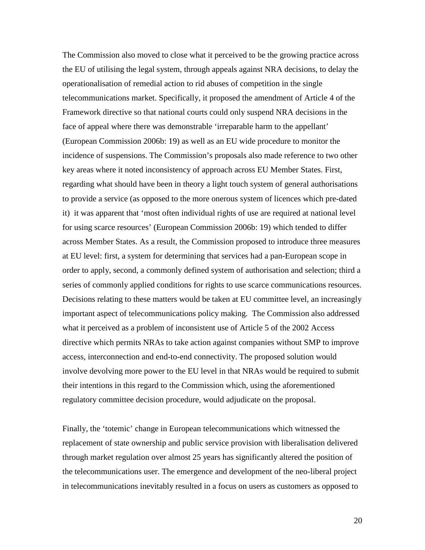The Commission also moved to close what it perceived to be the growing practice across the EU of utilising the legal system, through appeals against NRA decisions, to delay the operationalisation of remedial action to rid abuses of competition in the single telecommunications market. Specifically, it proposed the amendment of Article 4 of the Framework directive so that national courts could only suspend NRA decisions in the face of appeal where there was demonstrable 'irreparable harm to the appellant' (European Commission 2006b: 19) as well as an EU wide procedure to monitor the incidence of suspensions. The Commission's proposals also made reference to two other key areas where it noted inconsistency of approach across EU Member States. First, regarding what should have been in theory a light touch system of general authorisations to provide a service (as opposed to the more onerous system of licences which pre-dated it) it was apparent that 'most often individual rights of use are required at national level for using scarce resources' (European Commission 2006b: 19) which tended to differ across Member States. As a result, the Commission proposed to introduce three measures at EU level: first, a system for determining that services had a pan-European scope in order to apply, second, a commonly defined system of authorisation and selection; third a series of commonly applied conditions for rights to use scarce communications resources. Decisions relating to these matters would be taken at EU committee level, an increasingly important aspect of telecommunications policy making. The Commission also addressed what it perceived as a problem of inconsistent use of Article 5 of the 2002 Access directive which permits NRAs to take action against companies without SMP to improve access, interconnection and end-to-end connectivity. The proposed solution would involve devolving more power to the EU level in that NRAs would be required to submit their intentions in this regard to the Commission which, using the aforementioned regulatory committee decision procedure, would adjudicate on the proposal.

Finally, the 'totemic' change in European telecommunications which witnessed the replacement of state ownership and public service provision with liberalisation delivered through market regulation over almost 25 years has significantly altered the position of the telecommunications user. The emergence and development of the neo-liberal project in telecommunications inevitably resulted in a focus on users as customers as opposed to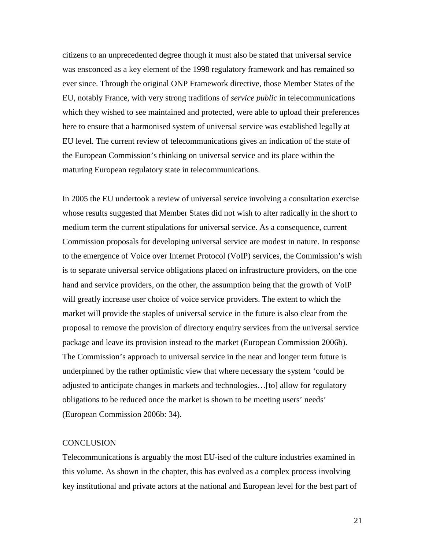citizens to an unprecedented degree though it must also be stated that universal service was ensconced as a key element of the 1998 regulatory framework and has remained so ever since. Through the original ONP Framework directive, those Member States of the EU, notably France, with very strong traditions of *service public* in telecommunications which they wished to see maintained and protected, were able to upload their preferences here to ensure that a harmonised system of universal service was established legally at EU level. The current review of telecommunications gives an indication of the state of the European Commission's thinking on universal service and its place within the maturing European regulatory state in telecommunications.

In 2005 the EU undertook a review of universal service involving a consultation exercise whose results suggested that Member States did not wish to alter radically in the short to medium term the current stipulations for universal service. As a consequence, current Commission proposals for developing universal service are modest in nature. In response to the emergence of Voice over Internet Protocol (VoIP) services, the Commission's wish is to separate universal service obligations placed on infrastructure providers, on the one hand and service providers, on the other, the assumption being that the growth of VoIP will greatly increase user choice of voice service providers. The extent to which the market will provide the staples of universal service in the future is also clear from the proposal to remove the provision of directory enquiry services from the universal service package and leave its provision instead to the market (European Commission 2006b). The Commission's approach to universal service in the near and longer term future is underpinned by the rather optimistic view that where necessary the system 'could be adjusted to anticipate changes in markets and technologies…[to] allow for regulatory obligations to be reduced once the market is shown to be meeting users' needs' (European Commission 2006b: 34).

#### **CONCLUSION**

Telecommunications is arguably the most EU-ised of the culture industries examined in this volume. As shown in the chapter, this has evolved as a complex process involving key institutional and private actors at the national and European level for the best part of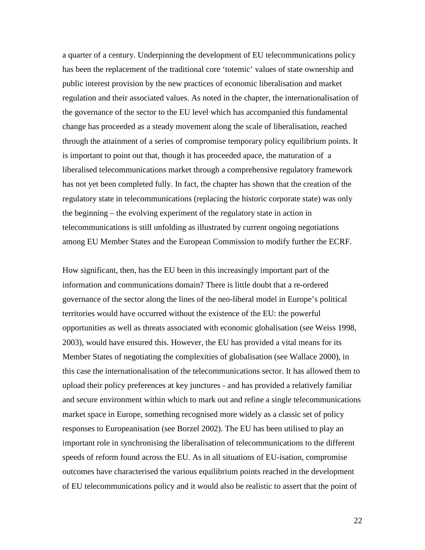a quarter of a century. Underpinning the development of EU telecommunications policy has been the replacement of the traditional core 'totemic' values of state ownership and public interest provision by the new practices of economic liberalisation and market regulation and their associated values. As noted in the chapter, the internationalisation of the governance of the sector to the EU level which has accompanied this fundamental change has proceeded as a steady movement along the scale of liberalisation, reached through the attainment of a series of compromise temporary policy equilibrium points. It is important to point out that, though it has proceeded apace, the maturation of a liberalised telecommunications market through a comprehensive regulatory framework has not yet been completed fully. In fact, the chapter has shown that the creation of the regulatory state in telecommunications (replacing the historic corporate state) was only the beginning – the evolving experiment of the regulatory state in action in telecommunications is still unfolding as illustrated by current ongoing negotiations among EU Member States and the European Commission to modify further the ECRF.

How significant, then, has the EU been in this increasingly important part of the information and communications domain? There is little doubt that a re-ordered governance of the sector along the lines of the neo-liberal model in Europe's political territories would have occurred without the existence of the EU: the powerful opportunities as well as threats associated with economic globalisation (see Weiss 1998, 2003), would have ensured this. However, the EU has provided a vital means for its Member States of negotiating the complexities of globalisation (see Wallace 2000), in this case the internationalisation of the telecommunications sector. It has allowed them to upload their policy preferences at key junctures - and has provided a relatively familiar and secure environment within which to mark out and refine a single telecommunications market space in Europe, something recognised more widely as a classic set of policy responses to Europeanisation (see Borzel 2002). The EU has been utilised to play an important role in synchronising the liberalisation of telecommunications to the different speeds of reform found across the EU. As in all situations of EU-isation, compromise outcomes have characterised the various equilibrium points reached in the development of EU telecommunications policy and it would also be realistic to assert that the point of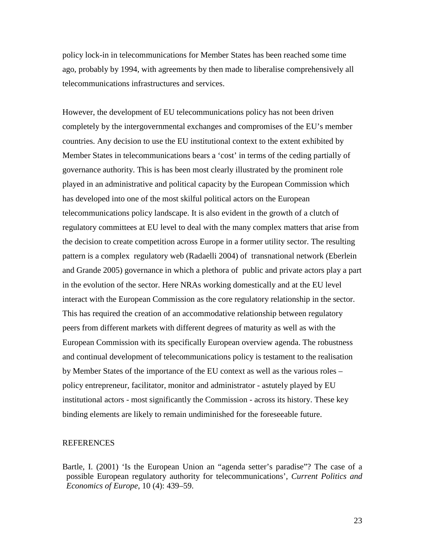policy lock-in in telecommunications for Member States has been reached some time ago, probably by 1994, with agreements by then made to liberalise comprehensively all telecommunications infrastructures and services.

However, the development of EU telecommunications policy has not been driven completely by the intergovernmental exchanges and compromises of the EU's member countries. Any decision to use the EU institutional context to the extent exhibited by Member States in telecommunications bears a 'cost' in terms of the ceding partially of governance authority. This is has been most clearly illustrated by the prominent role played in an administrative and political capacity by the European Commission which has developed into one of the most skilful political actors on the European telecommunications policy landscape. It is also evident in the growth of a clutch of regulatory committees at EU level to deal with the many complex matters that arise from the decision to create competition across Europe in a former utility sector. The resulting pattern is a complex regulatory web (Radaelli 2004) of transnational network (Eberlein and Grande 2005) governance in which a plethora of public and private actors play a part in the evolution of the sector. Here NRAs working domestically and at the EU level interact with the European Commission as the core regulatory relationship in the sector. This has required the creation of an accommodative relationship between regulatory peers from different markets with different degrees of maturity as well as with the European Commission with its specifically European overview agenda. The robustness and continual development of telecommunications policy is testament to the realisation by Member States of the importance of the EU context as well as the various roles – policy entrepreneur, facilitator, monitor and administrator - astutely played by EU institutional actors - most significantly the Commission - across its history. These key binding elements are likely to remain undiminished for the foreseeable future.

#### REFERENCES

Bartle, I. (2001) 'Is the European Union an "agenda setter's paradise"? The case of a possible European regulatory authority for telecommunications', *Current Politics and Economics of Europe*, 10 (4): 439–59.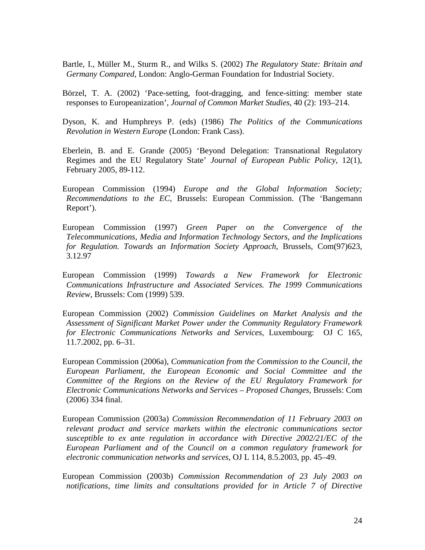Bartle, I., Müller M., Sturm R., and Wilks S. (2002) *The Regulatory State: Britain and Germany Compared*, London: Anglo-German Foundation for Industrial Society.

Börzel, T. A. (2002) 'Pace-setting, foot-dragging, and fence-sitting: member state responses to Europeanization', *Journal of Common Market Studies*, 40 (2): 193–214.

Dyson, K. and Humphreys P. (eds) (1986) *The Politics of the Communications Revolution in Western Europe* (London: Frank Cass).

- Eberlein, B. and E. Grande (2005) 'Beyond Delegation: Transnational Regulatory Regimes and the EU Regulatory State' *Journal of European Public Policy*, 12(1), February 2005, 89-112.
- European Commission (1994) *Europe and the Global Information Society; Recommendations to the EC*, Brussels: European Commission. (The 'Bangemann Report').
- European Commission (1997) *Green Paper on the Convergence of the Telecommunications, Media and Information Technology Sectors, and the Implications for Regulation. Towards an Information Society Approach*, Brussels, Com(97)623, 3.12.97
- European Commission (1999) *Towards a New Framework for Electronic Communications Infrastructure and Associated Services. The 1999 Communications Review*, Brussels: Com (1999) 539.
- European Commission (2002) *Commission Guidelines on Market Analysis and the Assessment of Significant Market Power under the Community Regulatory Framework for Electronic Communications Networks and Services*, Luxembourg: OJ C 165, 11.7.2002, pp. 6–31.
- European Commission (2006a), *Communication from the Commission to the Council, the European Parliament, the European Economic and Social Committee and the Committee of the Regions on the Review of the EU Regulatory Framework for Electronic Communications Networks and Services – Proposed Changes*, Brussels: Com (2006) 334 final.
- European Commission (2003a) *Commission Recommendation of 11 February 2003 on relevant product and service markets within the electronic communications sector susceptible to ex ante regulation in accordance with Directive 2002/21/EC of the European Parliament and of the Council on a common regulatory framework for electronic communication networks and services*, OJ L 114, 8.5.2003, pp. 45–49.

European Commission (2003b) *Commission Recommendation of 23 July 2003 on notifications, time limits and consultations provided for in Article 7 of Directive*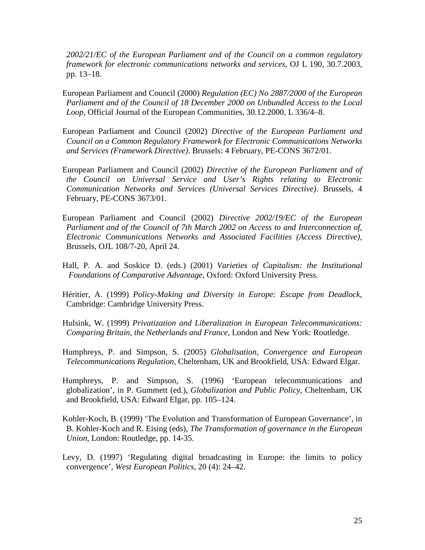*2002/21/EC of the European Parliament and of the Council on a common regulatory framework for electronic communications networks and services*, OJ L 190, 30.7.2003, pp. 13–18.

European Parliament and Council (2000) *Regulation (EC) No 2887/2000 of the European Parliament and of the Council of 18 December 2000 on Unbundled Access to the Local Loop*, Official Journal of the European Communities, 30.12.2000, L 336/4–8.

- European Parliament and Council (2002) *Directive of the European Parliament and Council on a Common Regulatory Framework for Electronic Communications Networks and Services (Framework Directive)*. Brussels: 4 February, PE-CONS 3672/01.
- European Parliament and Council (2002) *Directive of the European Parliament and of the Council on Universal Service and User's Rights relating to Electronic Communication Networks and Services (Universal Services Directive)*. Brussels, 4 February, PE-CONS 3673/01.
- European Parliament and Council (2002) *Directive 2002/19/EC of the European Parliament and of the Council of 7th March 2002 on Access to and Interconnection of, Electronic Communications Networks and Associated Facilities (Access Directive)*, Brussels, OJL 108/7-20, April 24.
- Hall, P. A. and Soskice D. (eds.) (2001) *Varieties of Capitalism: the Institutional Foundations of Comparative Advantage*, Oxford: Oxford University Press.
- Héritier, A. (1999) *Policy-Making and Diversity in Europe: Escape from Deadlock*, Cambridge: Cambridge University Press.
- Hulsink, W. (1999) *Privatization and Liberalization in European Telecommunications: Comparing Britain, the Netherlands and France*, London and New York: Routledge.
- Humphreys, P. and Simpson, S. (2005) *Globalisation, Convergence and European Telecommunications Regulation*, Cheltenham, UK and Brookfield, USA: Edward Elgar.
- Humphreys, P. and Simpson, S. (1996) 'European telecommunications and globalization', in P. Gummett (ed.), *Globalization and Public Policy*, Cheltenham, UK and Brookfield, USA: Edward Elgar, pp. 105–124.
- Kohler-Koch, B. (1999) 'The Evolution and Transformation of European Governance', in B. Kohler-Koch and R. Eising (eds), *The Transformation of governance in the European Union*, London: Routledge, pp. 14-35.
- Levy, D. (1997) 'Regulating digital broadcasting in Europe: the limits to policy convergence', *West European Politics*, 20 (4): 24–42.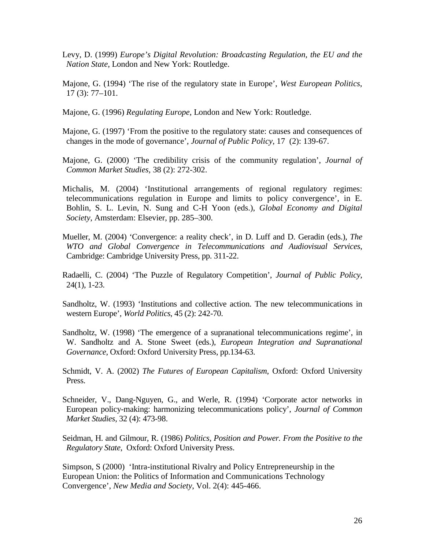- Levy, D. (1999) *Europe's Digital Revolution: Broadcasting Regulation, the EU and the Nation State*, London and New York: Routledge.
- Majone, G. (1994) 'The rise of the regulatory state in Europe', *West European Politics*, 17 (3): 77–101.
- Majone, G. (1996) *Regulating Europe*, London and New York: Routledge.
- Majone, G. (1997) 'From the positive to the regulatory state: causes and consequences of changes in the mode of governance', *Journal of Public Policy*, 17 (2): 139-67.
- Majone, G. (2000) 'The credibility crisis of the community regulation', *Journal of Common Market Studies,* 38 (2): 272-302.
- Michalis, M. (2004) 'Institutional arrangements of regional regulatory regimes: telecommunications regulation in Europe and limits to policy convergence', in E. Bohlin, S. L. Levin, N. Sung and C-H Yoon (eds.), *Global Economy and Digital Society*, Amsterdam: Elsevier, pp. 285–300.
- Mueller, M. (2004) 'Convergence: a reality check', in D. Luff and D. Geradin (eds.), *The WTO and Global Convergence in Telecommunications and Audiovisual Services*, Cambridge: Cambridge University Press, pp. 311-22.
- Radaelli, C. (2004) 'The Puzzle of Regulatory Competition', *Journal of Public Policy*, 24(1), 1-23.
- Sandholtz, W. (1993) 'Institutions and collective action. The new telecommunications in western Europe', *World Politics*, 45 (2): 242-70.
- Sandholtz, W. (1998) 'The emergence of a supranational telecommunications regime', in W. Sandholtz and A. Stone Sweet (eds.), *European Integration and Supranational Governance*, Oxford: Oxford University Press, pp.134-63.
- Schmidt, V. A. (2002) *The Futures of European Capitalism*, Oxford: Oxford University Press.
- Schneider, V., Dang-Nguyen, G., and Werle, R. (1994) 'Corporate actor networks in European policy-making: harmonizing telecommunications policy', *Journal of Common Market Studies*, 32 (4): 473-98.
- Seidman, H. and Gilmour, R. (1986) *Politics, Position and Power. From the Positive to the Regulatory State*, Oxford: Oxford University Press.

Simpson, S (2000) 'Intra-institutional Rivalry and Policy Entrepreneurship in the European Union: the Politics of Information and Communications Technology Convergence', *New Media and Society*, Vol. 2(4): 445-466.